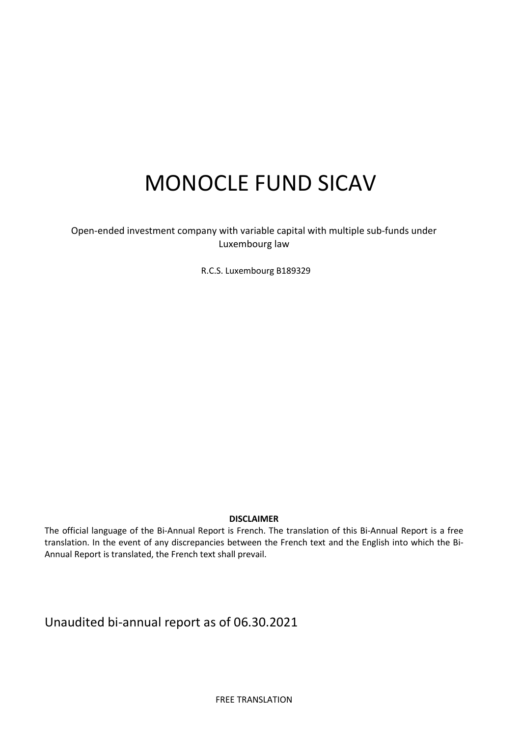# MONOCLE FUND SICAV

Open-ended investment company with variable capital with multiple sub-funds under Luxembourg law

R.C.S. Luxembourg B189329

## DISCLAIMER

The official language of the Bi-Annual Report is French. The translation of this Bi-Annual Report is a free translation. In the event of any discrepancies between the French text and the English into which the Bi-Annual Report is translated, the French text shall prevail.

Unaudited bi-annual report as of 06.30.2021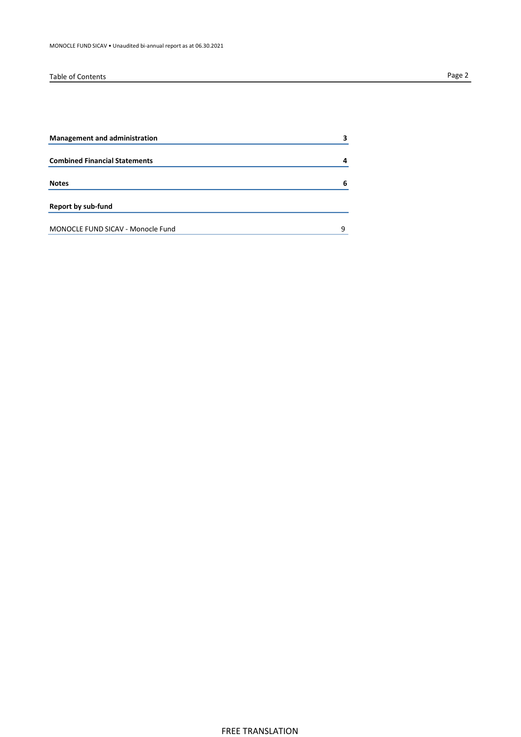## Table of Contents Page 2

| <b>Management and administration</b> | 3 |
|--------------------------------------|---|
|                                      |   |
| <b>Combined Financial Statements</b> | 4 |
| <b>Notes</b>                         | 6 |
| <b>Report by sub-fund</b>            |   |
| MONOCLE FUND SICAV - Monocle Fund    | q |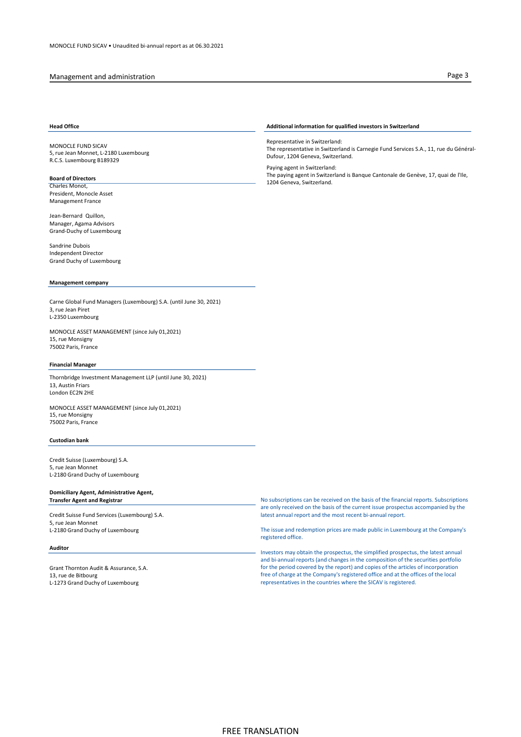## Management and administration **Page 3**

MONOCLE FUND SICAV 5, rue Jean Monnet, L-2180 Luxembourg R.C.S. Luxembourg B189329

### Board of Directors

Charles Monot, President, Monocle Asset Management France

Jean-Bernard Quillon, Manager, Agama Advisors Grand-Duchy of Luxembourg

Sandrine Dubois Independent Director Grand Duchy of Luxembourg

## Management company

Carne Global Fund Managers (Luxembourg) S.A. (until June 30, 2021) 3, rue Jean Piret L-2350 Luxembourg

MONOCLE ASSET MANAGEMENT (since July 01,2021) 15, rue Monsigny 75002 Paris, France

### Financial Manager

Thornbridge Investment Management LLP (until June 30, 2021) 13, Austin Friars London EC2N 2HE

MONOCLE ASSET MANAGEMENT (since July 01,2021) 15, rue Monsigny 75002 Paris, France

## Custodian bank

Credit Suisse (Luxembourg) S.A. 5, rue Jean Monnet L-2180 Grand Duchy of Luxembourg

## Domiciliary Agent, Administrative Agent, Transfer Agent and Registrar

Credit Suisse Fund Services (Luxembourg) S.A. 5, rue Jean Monnet L-2180 Grand Duchy of Luxembourg

## Auditor

Grant Thornton Audit & Assurance, S.A. 13, rue de Bitbourg L-1273 Grand Duchy of Luxembourg

## Head Office **Additional information for qualified investors in Switzerland Head Office**

Representative in Switzerland: The representative in Switzerland is Carnegie Fund Services S.A., 11, rue du Général-Dufour, 1204 Geneva, Switzerland.

Paying agent in Switzerland: The paying agent in Switzerland is Banque Cantonale de Genève, 17, quai de l'Ile, 1204 Geneva, Switzerland.

No subscriptions can be received on the basis of the financial reports. Subscriptions are only received on the basis of the current issue prospectus accompanied by the latest annual report and the most recent bi-annual report.

The issue and redemption prices are made public in Luxembourg at the Company's registered office.

Investors may obtain the prospectus, the simplified prospectus, the latest annual and bi-annual reports (and changes in the composition of the securities portfolio for the period covered by the report) and copies of the articles of incorporation free of charge at the Company's registered office and at the offices of the local representatives in the countries where the SICAV is registered.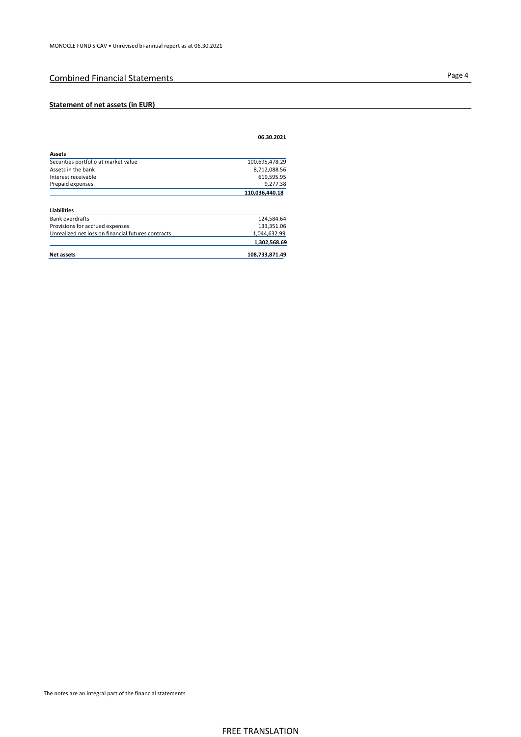## Page 4 Combined Financial Statements

## Statement of net assets (in EUR)

|                                                    | 06.30.2021     |
|----------------------------------------------------|----------------|
| <b>Assets</b>                                      |                |
| Securities portfolio at market value               | 100,695,478.29 |
| Assets in the bank                                 | 8,712,088.56   |
| Interest receivable                                | 619,595.95     |
| Prepaid expenses                                   | 9,277.38       |
|                                                    | 110,036,440.18 |
| <b>Liabilities</b>                                 |                |
| <b>Bank overdrafts</b>                             | 124,584.64     |
| Provisions for accrued expenses                    | 133,351.06     |
| Unrealized net loss on financial futures contracts | 1,044,632.99   |
|                                                    | 1,302,568.69   |
| <b>Net assets</b>                                  | 108,733,871.49 |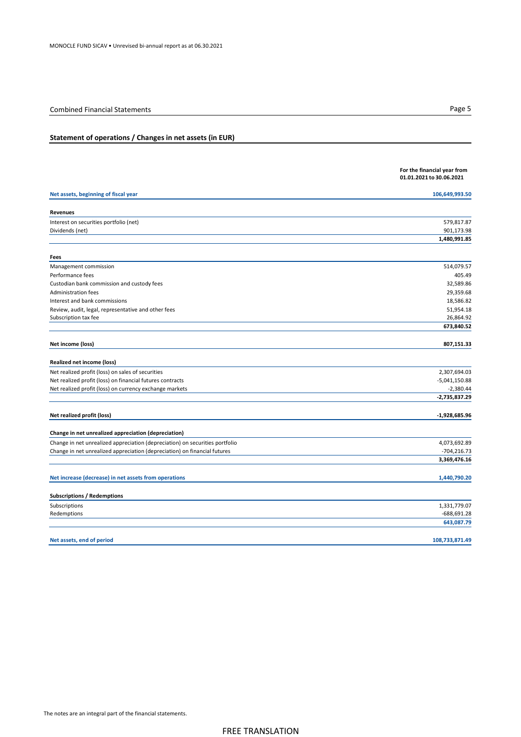| Statement of operations / Changes in net assets (in EUR)                     |                                                         |
|------------------------------------------------------------------------------|---------------------------------------------------------|
|                                                                              |                                                         |
|                                                                              | For the financial year from<br>01.01.2021 to 30.06.2021 |
| Net assets, beginning of fiscal year                                         | 106,649,993.50                                          |
| Revenues                                                                     |                                                         |
| Interest on securities portfolio (net)                                       | 579,817.87                                              |
| Dividends (net)                                                              | 901,173.98                                              |
|                                                                              | 1,480,991.85                                            |
| Fees                                                                         |                                                         |
| Management commission                                                        | 514,079.57                                              |
| Performance fees                                                             | 405.49                                                  |
| Custodian bank commission and custody fees                                   | 32,589.86                                               |
| Administration fees                                                          | 29,359.68                                               |
| Interest and bank commissions                                                | 18,586.82                                               |
| Review, audit, legal, representative and other fees                          | 51,954.18                                               |
| Subscription tax fee                                                         | 26,864.92                                               |
|                                                                              | 673,840.52                                              |
| Net income (loss)                                                            | 807,151.33                                              |
| Realized net income (loss)                                                   |                                                         |
| Net realized profit (loss) on sales of securities                            | 2,307,694.03                                            |
| Net realized profit (loss) on financial futures contracts                    | $-5,041,150.88$                                         |
| Net realized profit (loss) on currency exchange markets                      | $-2,380.44$                                             |
|                                                                              | -2,735,837.29                                           |
| Net realized profit (loss)                                                   | $-1,928,685.96$                                         |
|                                                                              |                                                         |
| Change in net unrealized appreciation (depreciation)                         |                                                         |
| Change in net unrealized appreciation (depreciation) on securities portfolio | 4,073,692.89                                            |
| Change in net unrealized appreciation (depreciation) on financial futures    | $-704, 216.73$<br>3,369,476.16                          |
| Net increase (decrease) in net assets from operations                        | 1,440,790.20                                            |
|                                                                              |                                                         |
| <b>Subscriptions / Redemptions</b>                                           |                                                         |
| Subscriptions                                                                | 1,331,779.07                                            |
| Redemptions                                                                  | -688,691.28                                             |
|                                                                              | 643,087.79                                              |
| Net assets, end of period                                                    | 108,733,871.49                                          |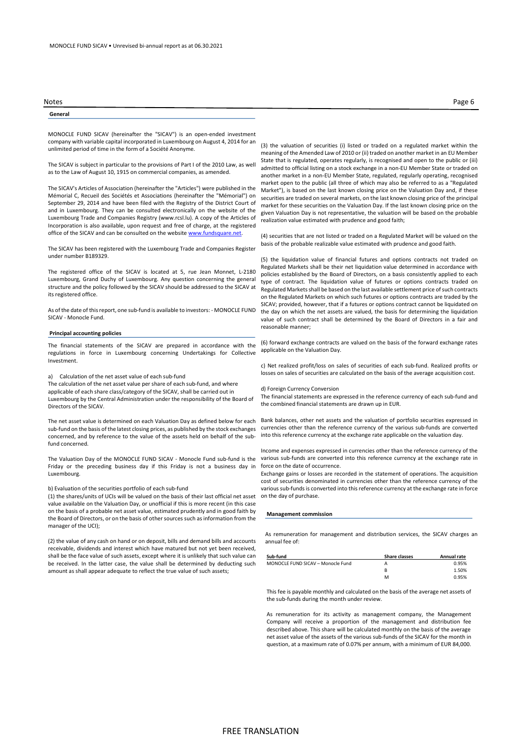### General

MONOCLE FUND SICAV (hereinafter the "SICAV") is an open-ended investment company with variable capital incorporated in Luxembourg on August 4, 2014 for an unlimited period of time in the form of a Société Anonyme.

The SICAV is subject in particular to the provisions of Part I of the 2010 Law, as well as to the Law of August 10, 1915 on commercial companies, as amended.

The SICAV's Articles of Association (hereinafter the "Articles") were published in the Mémorial C, Recueil des Sociétés et Associations (hereinafter the "Mémorial") on September 29, 2014 and have been filed with the Registry of the District Court of and in Luxembourg. They can be consulted electronically on the website of the Luxembourg Trade and Companies Registry (www.rcsl.lu). A copy of the Articles of Incorporation is also available, upon request and free of charge, at the registered office of the SICAV and can be consulted on the website www.fundsquare.net.

The SICAV has been registered with the Luxembourg Trade and Companies Register under number B189329.

The registered office of the SICAV is located at 5, rue Jean Monnet, L-2180 Luxembourg, Grand Duchy of Luxembourg. Any question concerning the general structure and the policy followed by the SICAV should be addressed to the SICAV at its registered office.

As of the date of this report, one sub-fund is available to investors: - MONOCLE FUND SICAV - Monocle Fund.

### Principal accounting policies

The financial statements of the SICAV are prepared in accordance with the regulations in force in Luxembourg concerning Undertakings for Collective Investment.

### a) Calculation of the net asset value of each sub-fund

The calculation of the net asset value per share of each sub-fund, and where applicable of each share class/category of the SICAV, shall be carried out in Luxembourg by the Central Administration under the responsibility of the Board of Directors of the SICAV.

The net asset value is determined on each Valuation Day as defined below for each sub-fund on the basis of the latest closing prices, as published by the stock exchanges concerned, and by reference to the value of the assets held on behalf of the subfund concerned.

The Valuation Day of the MONOCLE FUND SICAV - Monocle Fund sub-fund is the Friday or the preceding business day if this Friday is not a business day in Luxembourg.

## b) Evaluation of the securities portfolio of each sub-fund

(1) the shares/units of UCIs will be valued on the basis of their last official net asset value available on the Valuation Day, or unofficial if this is more recent (in this case on the basis of a probable net asset value, estimated prudently and in good faith by the Board of Directors, or on the basis of other sources such as information from the manager of the UCI);

(2) the value of any cash on hand or on deposit, bills and demand bills and accounts receivable, dividends and interest which have matured but not yet been received, shall be the face value of such assets, except where it is unlikely that such value can be received. In the latter case, the value shall be determined by deducting such amount as shall appear adequate to reflect the true value of such assets;

(3) the valuation of securities (i) listed or traded on a regulated market within the meaning of the Amended Law of 2010 or (ii) traded on another market in an EU Member State that is regulated, operates regularly, is recognised and open to the public or (iii) admitted to official listing on a stock exchange in a non-EU Member State or traded on another market in a non-EU Member State, regulated, regularly operating, recognised market open to the public (all three of which may also be referred to as a "Regulated Market"), is based on the last known closing price on the Valuation Day and, if these securities are traded on several markets, on the last known closing price of the principal market for these securities on the Valuation Day. If the last known closing price on the given Valuation Day is not representative, the valuation will be based on the probable realization value estimated with prudence and good faith;

(4) securities that are not listed or traded on a Regulated Market will be valued on the basis of the probable realizable value estimated with prudence and good faith.

(5) the liquidation value of financial futures and options contracts not traded on Regulated Markets shall be their net liquidation value determined in accordance with policies established by the Board of Directors, on a basis consistently applied to each type of contract. The liquidation value of futures or options contracts traded on Regulated Markets shall be based on the last available settlement price of such contracts on the Regulated Markets on which such futures or options contracts are traded by the SICAV; provided, however, that if a futures or options contract cannot be liquidated on the day on which the net assets are valued, the basis for determining the liquidation value of such contract shall be determined by the Board of Directors in a fair and reasonable manner;

(6) forward exchange contracts are valued on the basis of the forward exchange rates applicable on the Valuation Day.

c) Net realized profit/loss on sales of securities of each sub-fund. Realized profits or losses on sales of securities are calculated on the basis of the average acquisition cost.

### d) Foreign Currency Conversion

The financial statements are expressed in the reference currency of each sub-fund and the combined financial statements are drawn up in EUR.

Bank balances, other net assets and the valuation of portfolio securities expressed in currencies other than the reference currency of the various sub-funds are converted into this reference currency at the exchange rate applicable on the valuation day.

Income and expenses expressed in currencies other than the reference currency of the various sub-funds are converted into this reference currency at the exchange rate in force on the date of occurrence.

Exchange gains or losses are recorded in the statement of operations. The acquisition cost of securities denominated in currencies other than the reference currency of the various sub-funds is converted into this reference currency at the exchange rate in force on the day of purchase.

### Management commission

As remuneration for management and distribution services, the SICAV charges an annual fee of:

| Sub-fund                          | <b>Share classes</b> | Annual rate |
|-----------------------------------|----------------------|-------------|
| MONOCLE FUND SICAV - Monocle Fund | А                    | 0.95%       |
|                                   | B                    | 1.50%       |
|                                   | м                    | 0.95%       |
|                                   |                      |             |

This fee is payable monthly and calculated on the basis of the average net assets of the sub-funds during the month under review.

As remuneration for its activity as management company, the Management Company will receive a proportion of the management and distribution fee described above. This share will be calculated monthly on the basis of the average net asset value of the assets of the various sub-funds of the SICAV for the month in question, at a maximum rate of 0.07% per annum, with a minimum of EUR 84,000.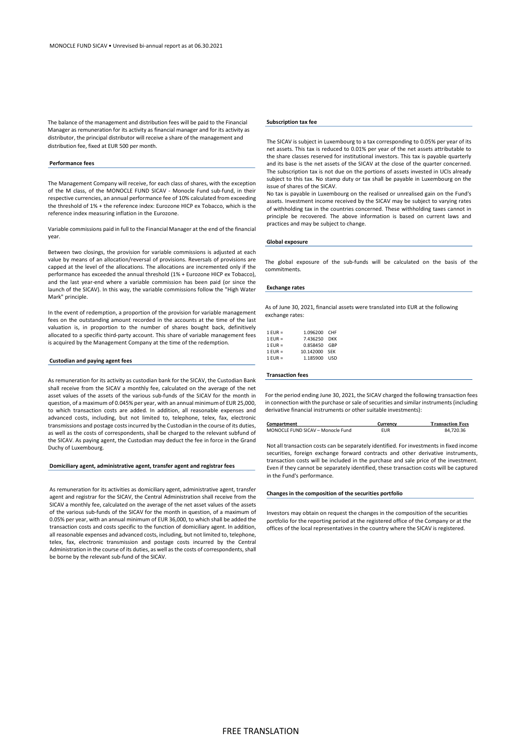The balance of the management and distribution fees will be paid to the Financial Manager as remuneration for its activity as financial manager and for its activity as distributor, the principal distributor will receive a share of the management and distribution fee, fixed at EUR 500 per month.

### Performance fees

The Management Company will receive, for each class of shares, with the exception of the M class, of the MONOCLE FUND SICAV - Monocle Fund sub-fund, in their respective currencies, an annual performance fee of 10% calculated from exceeding the threshold of 1% + the reference index: Eurozone HICP ex Tobacco, which is the reference index measuring inflation in the Eurozone.

Variable commissions paid in full to the Financial Manager at the end of the financial year.

Between two closings, the provision for variable commissions is adjusted at each value by means of an allocation/reversal of provisions. Reversals of provisions are capped at the level of the allocations. The allocations are incremented only if the performance has exceeded the annual threshold (1% + Eurozone HICP ex Tobacco), and the last year-end where a variable commission has been paid (or since the launch of the SICAV). In this way, the variable commissions follow the "High Water Mark" principle.

In the event of redemption, a proportion of the provision for variable management fees on the outstanding amount recorded in the accounts at the time of the last valuation is, in proportion to the number of shares bought back, definitively allocated to a specific third-party account. This share of variable management fees is acquired by the Management Company at the time of the redemption.

## Custodian and paying agent fees

As remuneration for its activity as custodian bank for the SICAV, the Custodian Bank shall receive from the SICAV a monthly fee, calculated on the average of the net asset values of the assets of the various sub-funds of the SICAV for the month in question, of a maximum of 0.045% per year, with an annual minimum of EUR 25,000, to which transaction costs are added. In addition, all reasonable expenses and advanced costs, including, but not limited to, telephone, telex, fax, electronic transmissions and postage costs incurred by the Custodian in the course of its duties, as well as the costs of correspondents, shall be charged to the relevant subfund of the SICAV. As paying agent, the Custodian may deduct the fee in force in the Grand Duchy of Luxembourg.

## Domiciliary agent, administrative agent, transfer agent and registrar fees

As remuneration for its activities as domiciliary agent, administrative agent, transfer agent and registrar for the SICAV, the Central Administration shall receive from the SICAV a monthly fee, calculated on the average of the net asset values of the assets of the various sub-funds of the SICAV for the month in question, of a maximum of 0.05% per year, with an annual minimum of EUR 36,000, to which shall be added the transaction costs and costs specific to the function of domiciliary agent. In addition, all reasonable expenses and advanced costs, including, but not limited to, telephone, telex, fax, electronic transmission and postage costs incurred by the Central Administration in the course of its duties, as well as the costs of correspondents, shall be borne by the relevant sub-fund of the SICAV.

## Subscription tax fee

The SICAV is subject in Luxembourg to a tax corresponding to 0.05% per year of its net assets. This tax is reduced to 0.01% per year of the net assets attributable to the share classes reserved for institutional investors. This tax is payable quarterly and its base is the net assets of the SICAV at the close of the quarter concerned. The subscription tax is not due on the portions of assets invested in UCIs already subject to this tax. No stamp duty or tax shall be payable in Luxembourg on the issue of shares of the SICAV.

No tax is payable in Luxembourg on the realised or unrealised gain on the Fund's assets. Investment income received by the SICAV may be subject to varying rates of withholding tax in the countries concerned. These withholding taxes cannot in principle be recovered. The above information is based on current laws and practices and may be subject to change.

## Global exposure

The global exposure of the sub-funds will be calculated on the basis of the commitments.

## Exchange rates

As of June 30, 2021, financial assets were translated into EUR at the following exchange rates:

| $1$ EUR = | 1.096200 CHF  |            |
|-----------|---------------|------------|
|           |               |            |
| $1$ EUR = | 7.436250      | <b>DKK</b> |
| $1$ EUR = | 0.858450 GBP  |            |
| $1$ EUR = | 10.142000 SEK |            |
| $1$ FUR = | 1.185900 USD  |            |

### Transaction fees

For the period ending June 30, 2021, the SICAV charged the following transaction fees in connection with the purchase or sale of securities and similar instruments (including derivative financial instruments or other suitable investments):

| Compartment                       | Currency   | <b>Transaction Fees</b> |
|-----------------------------------|------------|-------------------------|
| MONOCLE FUND SICAV - Monocle Fund | <b>EUR</b> | 84.720.36               |

Not all transaction costs can be separately identified. For investments in fixed income securities, foreign exchange forward contracts and other derivative instruments, transaction costs will be included in the purchase and sale price of the investment. Even if they cannot be separately identified, these transaction costs will be captured in the Fund's performance.

## Changes in the composition of the securities portfolio

Investors may obtain on request the changes in the composition of the securities portfolio for the reporting period at the registered office of the Company or at the offices of the local representatives in the country where the SICAV is registered.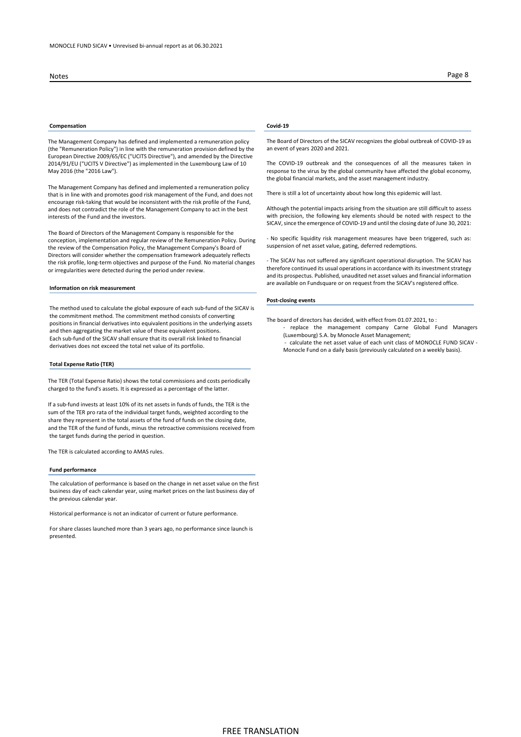## Compensation Covid-19

The Management Company has defined and implemented a remuneration policy (the "Remuneration Policy") in line with the remuneration provision defined by the European Directive 2009/65/EC ("UCITS Directive"), and amended by the Directive 2014/91/EU ("UCITS V Directive") as implemented in the Luxembourg Law of 10 May 2016 (the "2016 Law").

The Management Company has defined and implemented a remuneration policy that is in line with and promotes good risk management of the Fund, and does not encourage risk-taking that would be inconsistent with the risk profile of the Fund, and does not contradict the role of the Management Company to act in the best interests of the Fund and the investors.

The Board of Directors of the Management Company is responsible for the conception, implementation and regular review of the Remuneration Policy. During the review of the Compensation Policy, the Management Company's Board of Directors will consider whether the compensation framework adequately reflects the risk profile, long-term objectives and purpose of the Fund. No material changes or irregularities were detected during the period under review.

### Information on risk measurement

The method used to calculate the global exposure of each sub-fund of the SICAV is the commitment method. The commitment method consists of converting positions in financial derivatives into equivalent positions in the underlying assets and then aggregating the market value of these equivalent positions. Each sub-fund of the SICAV shall ensure that its overall risk linked to financial derivatives does not exceed the total net value of its portfolio.

### Total Expense Ratio (TER)

The TER (Total Expense Ratio) shows the total commissions and costs periodically charged to the fund's assets. It is expressed as a percentage of the latter.

If a sub-fund invests at least 10% of its net assets in funds of funds, the TER is the sum of the TER pro rata of the individual target funds, weighted according to the share they represent in the total assets of the fund of funds on the closing date, and the TER of the fund of funds, minus the retroactive commissions received from the target funds during the period in question.

The TER is calculated according to AMAS rules.

### Fund performance

The calculation of performance is based on the change in net asset value on the first business day of each calendar year, using market prices on the last business day of the previous calendar year.

Historical performance is not an indicator of current or future performance.

For share classes launched more than 3 years ago, no performance since launch is presented.

## Notes Page 8

The Board of Directors of the SICAV recognizes the global outbreak of COVID-19 as an event of years 2020 and 2021.

The COVID-19 outbreak and the consequences of all the measures taken in response to the virus by the global community have affected the global economy, the global financial markets, and the asset management industry.

There is still a lot of uncertainty about how long this epidemic will last.

Although the potential impacts arising from the situation are still difficult to assess with precision, the following key elements should be noted with respect to the SICAV, since the emergence of COVID-19 and until the closing date of June 30, 2021:

- No specific liquidity risk management measures have been triggered, such as: suspension of net asset value, gating, deferred redemptions.

- The SICAV has not suffered any significant operational disruption. The SICAV has therefore continued its usual operations in accordance with its investment strategy and its prospectus. Published, unaudited net asset values and financial information are available on Fundsquare or on request from the SICAV's registered office.

### Post-closing events

The board of directors has decided, with effect from 01.07.2021, to :

- replace the management company Carne Global Fund Managers (Luxembourg) S.A. by Monocle Asset Management;
- calculate the net asset value of each unit class of MONOCLE FUND SICAV Monocle Fund on a daily basis (previously calculated on a weekly basis).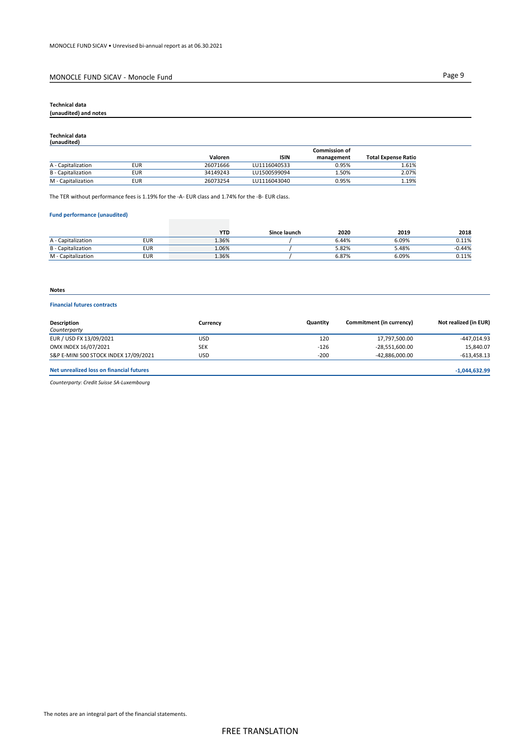## MONOCLE FUND SICAV - Monocle Fund Page 9

## Technical data

## (unaudited) and notes

## Technical data (unaudited)

|                           |            |          |              | <b>Commission of</b> |                            |
|---------------------------|------------|----------|--------------|----------------------|----------------------------|
|                           |            | Valoren  | <b>ISIN</b>  | management           | <b>Total Expense Ratio</b> |
| A - Capitalization        | <b>EUR</b> | 26071666 | LU1116040533 | 0.95%                | 1.61%                      |
| <b>B</b> - Capitalization | <b>EUR</b> | 34149243 | LU1500599094 | 1.50%                | 2.07%                      |
| M - Capitalization        | <b>EUR</b> | 26073254 | LU1116043040 | 0.95%                | 1.19%                      |

The TER without performance fees is 1.19% for the -A- EUR class and 1.74% for the -B- EUR class.

## Fund performance (unaudited)

|                           |            | <b>YTL</b> | Since launch | 2020  | 2019  | 2018     |
|---------------------------|------------|------------|--------------|-------|-------|----------|
| A - Capitalization        | <b>EUR</b> | 1.36%      |              | 6.44% | 6.09% | 0.11%    |
| <b>B</b> - Capitalization | <b>EUR</b> | 1.06%      |              | 5.82% | 5.48% | $-0.44%$ |
| M - Capitalization        | <b>EUR</b> | 1.36%      |              | 6.87% | 6.09% | 0.11%    |

## Notes

## Financial futures contracts

| Description                              | Currency   | Quantity | Commitment (in currency) | Not realized (in EUR) |
|------------------------------------------|------------|----------|--------------------------|-----------------------|
| Counterparty                             |            |          |                          |                       |
| EUR / USD FX 13/09/2021                  | USD        | 120      | 17,797,500.00            | -447,014.93           |
| OMX INDEX 16/07/2021                     | <b>SEK</b> | $-126$   | -28,551,600.00           | 15,840.07             |
| S&P E-MINI 500 STOCK INDEX 17/09/2021    | <b>USD</b> | $-200$   | -42,886,000.00           | $-613,458.13$         |
| Net unrealized loss on financial futures |            |          |                          | $-1,044,632.99$       |

Counterparty: Credit Suisse SA-Luxembourg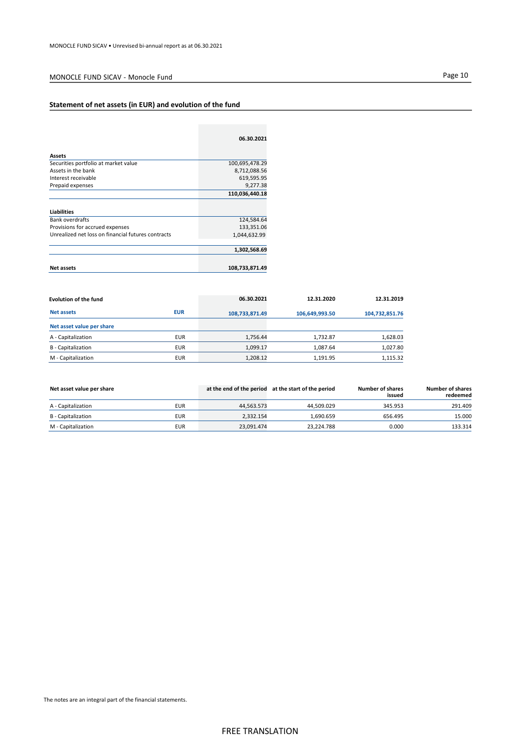## MONOCLE FUND SICAV - Monocle Fund Page 10

## Statement of net assets (in EUR) and evolution of the fund

| 06.30.2021     |
|----------------|
|                |
| 100,695,478.29 |
| 8,712,088.56   |
| 619,595.95     |
| 9,277.38       |
| 110,036,440.18 |
|                |
|                |
| 124,584.64     |
| 133,351.06     |
| 1,044,632.99   |
| 1,302,568.69   |
| 108,733,871.49 |
|                |

| Evolution of the fund     |            | 06.30.2021     | 12.31.2020     | 12.31.2019     |
|---------------------------|------------|----------------|----------------|----------------|
| <b>Net assets</b>         | <b>EUR</b> | 108,733,871.49 | 106,649,993.50 | 104,732,851.76 |
| Net asset value per share |            |                |                |                |
| A - Capitalization        | <b>EUR</b> | 1.756.44       | 1.732.87       | 1,628.03       |
| <b>B</b> - Capitalization | <b>EUR</b> | 1,099.17       | 1,087.64       | 1,027.80       |
| M - Capitalization        | <b>EUR</b> | 1.208.12       | 1.191.95       | 1,115.32       |

| Net asset value per share |            |            | at the end of the period at the start of the period | <b>Number of shares</b><br>issued | <b>Number of shares</b><br>redeemed |
|---------------------------|------------|------------|-----------------------------------------------------|-----------------------------------|-------------------------------------|
| A - Capitalization        | <b>EUR</b> | 44.563.573 | 44.509.029                                          | 345.953                           | 291.409                             |
| B - Capitalization        | <b>EUR</b> | 2.332.154  | 1.690.659                                           | 656.495                           | 15.000                              |
| M - Capitalization        | <b>EUR</b> | 23.091.474 | 23.224.788                                          | 0.000                             | 133.314                             |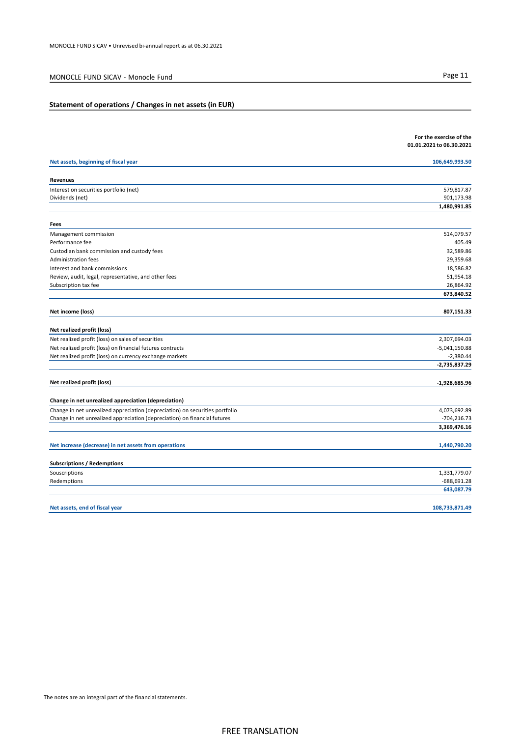## MONOCLE FUND SICAV - Monocle Fund Page 11

## Statement of operations / Changes in net assets (in EUR)

|                                                                              | For the exercise of the<br>01.01.2021 to 06.30.2021 |
|------------------------------------------------------------------------------|-----------------------------------------------------|
|                                                                              |                                                     |
| Net assets, beginning of fiscal year                                         | 106,649,993.50                                      |
| Revenues                                                                     |                                                     |
| Interest on securities portfolio (net)                                       | 579,817.87                                          |
| Dividends (net)                                                              | 901,173.98                                          |
|                                                                              | 1,480,991.85                                        |
| Fees                                                                         |                                                     |
| Management commission                                                        | 514,079.57                                          |
| Performance fee                                                              | 405.49                                              |
| Custodian bank commission and custody fees                                   | 32,589.86                                           |
| Administration fees                                                          | 29,359.68                                           |
| Interest and bank commissions                                                | 18,586.82                                           |
| Review, audit, legal, representative, and other fees                         | 51,954.18                                           |
| Subscription tax fee                                                         | 26,864.92                                           |
|                                                                              | 673,840.52                                          |
| Net income (loss)                                                            | 807,151.33                                          |
| Net realized profit (loss)                                                   |                                                     |
| Net realized profit (loss) on sales of securities                            | 2,307,694.03                                        |
| Net realized profit (loss) on financial futures contracts                    | $-5,041,150.88$                                     |
| Net realized profit (loss) on currency exchange markets                      | $-2,380.44$                                         |
|                                                                              | $-2,735,837.29$                                     |
| Net realized profit (loss)                                                   | $-1,928,685.96$                                     |
| Change in net unrealized appreciation (depreciation)                         |                                                     |
| Change in net unrealized appreciation (depreciation) on securities portfolio | 4,073,692.89                                        |
| Change in net unrealized appreciation (depreciation) on financial futures    | $-704, 216.73$                                      |
|                                                                              | 3,369,476.16                                        |
| Net increase (decrease) in net assets from operations                        | 1,440,790.20                                        |
| <b>Subscriptions / Redemptions</b>                                           |                                                     |
| Souscriptions                                                                | 1,331,779.07                                        |
| Redemptions                                                                  | $-688,691.28$                                       |
|                                                                              | 643,087.79                                          |
| Net assets, end of fiscal year                                               | 108,733,871.49                                      |